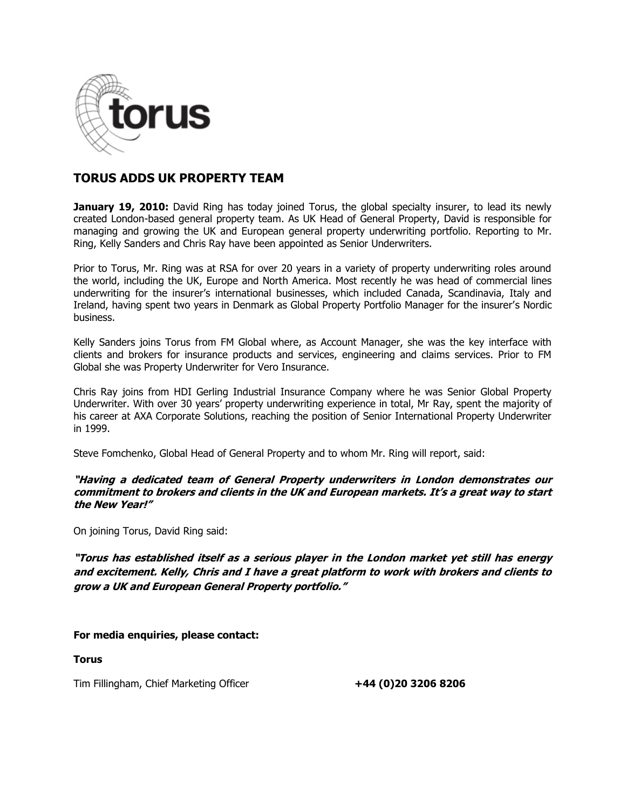

# **TORUS ADDS UK PROPERTY TEAM**

**January 19, 2010:** David Ring has today joined Torus, the global specialty insurer, to lead its newly created London-based general property team. As UK Head of General Property, David is responsible for managing and growing the UK and European general property underwriting portfolio. Reporting to Mr. Ring, Kelly Sanders and Chris Ray have been appointed as Senior Underwriters.

Prior to Torus, Mr. Ring was at RSA for over 20 years in a variety of property underwriting roles around the world, including the UK, Europe and North America. Most recently he was head of commercial lines underwriting for the insurer's international businesses, which included Canada, Scandinavia, Italy and Ireland, having spent two years in Denmark as Global Property Portfolio Manager for the insurer's Nordic business.

Kelly Sanders joins Torus from FM Global where, as Account Manager, she was the key interface with clients and brokers for insurance products and services, engineering and claims services. Prior to FM Global she was Property Underwriter for Vero Insurance.

Chris Ray joins from HDI Gerling Industrial Insurance Company where he was Senior Global Property Underwriter. With over 30 years' property underwriting experience in total, Mr Ray, spent the majority of his career at AXA Corporate Solutions, reaching the position of Senior International Property Underwriter in 1999.

Steve Fomchenko, Global Head of General Property and to whom Mr. Ring will report, said:

**"Having a dedicated team of General Property underwriters in London demonstrates our commitment to brokers and clients in the UK and European markets. It's a great way to start the New Year!"**

On joining Torus, David Ring said:

**"Torus has established itself as a serious player in the London market yet still has energy and excitement. Kelly, Chris and I have a great platform to work with brokers and clients to grow a UK and European General Property portfolio."**

## **For media enquiries, please contact:**

**Torus**

Tim Fillingham, Chief Marketing Officer **+44 (0)20 3206 8206**